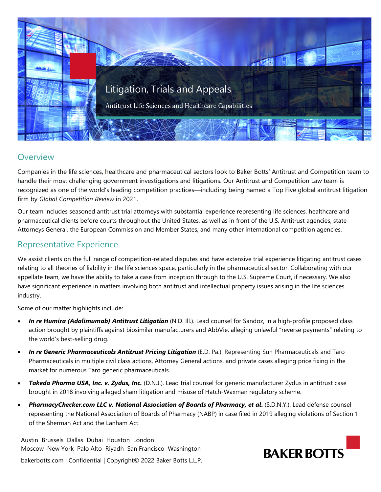

## **Overview**

Companies in the life sciences, healthcare and pharmaceutical sectors look to Baker Botts' Antitrust and Competition team to handle their most challenging government investigations and litigations. Our Antitrust and Competition Law team is recognized as one of the world's leading competition practices—including being named a Top Five global antitrust litigation firm by *Global Competition Review* in 2021.

Our team includes seasoned antitrust trial attorneys with substantial experience representing life sciences, healthcare and pharmaceutical clients before courts throughout the United States, as well as in front of the U.S. Antitrust agencies, state Attorneys General, the European Commission and Member States, and many other international competition agencies.

## Representative Experience

We assist clients on the full range of competition-related disputes and have extensive trial experience litigating antitrust cases relating to all theories of liability in the life sciences space, particularly in the pharmaceutical sector. Collaborating with our appellate team, we have the ability to take a case from inception through to the U.S. Supreme Court, if necessary. We also have significant experience in matters involving both antitrust and intellectual property issues arising in the life sciences industry.

Some of our matter highlights include:

- **In re Humira (Adalimumab) Antitrust Litigation** (N.D. III.). Lead counsel for Sandoz, in a high-profile proposed class action brought by plaintiffs against biosimilar manufacturers and AbbVie, alleging unlawful "reverse payments" relating to the world's best-selling drug.
- *In re Generic Pharmaceuticals Antitrust Pricing Litigation* (E.D. Pa.). Representing Sun Pharmaceuticals and Taro Pharmaceuticals in multiple civil class actions, Attorney General actions, and private cases alleging price fixing in the market for numerous Taro generic pharmaceuticals.
- *Takeda Pharma USA, Inc. v. Zydus, Inc.* (D.N.J.). Lead trial counsel for generic manufacturer Zydus in antitrust case brought in 2018 involving alleged sham litigation and misuse of Hatch-Waxman regulatory scheme.
- *PharmacyChecker.com LLC v. National Association of Boards of Pharmacy, et al***.** (S.D.N.Y.). Lead defense counsel representing the National Association of Boards of Pharmacy (NABP) in case filed in 2019 alleging violations of Section 1 of the Sherman Act and the Lanham Act.

Austin Brussels Dallas Dubai Houston London Moscow New York Palo Alto Riyadh San Francisco Washington



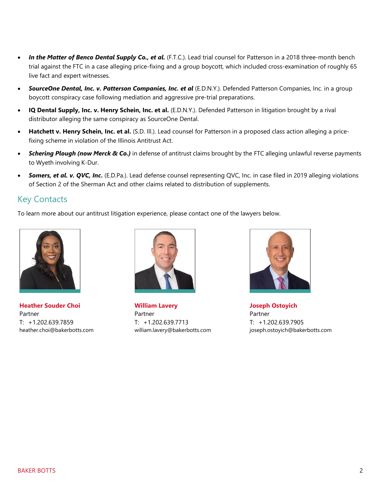- In the Matter of Benco Dental Supply Co., et al. (F.T.C.). Lead trial counsel for Patterson in a 2018 three-month bench trial against the FTC in a case alleging price-fixing and a group boycott, which included cross-examination of roughly 65 live fact and expert witnesses.
- *[SourceOne Dental, Inc. v. Patterson Companies, Inc. et al](https://www.law360.com/cases/56004c71855bb306f3000001?article_sidebar=1)* (E.D.N.Y.). Defended Patterson Companies, Inc. in a group boycott conspiracy case following mediation and aggressive pre-trial preparations.
- **IQ Dental Supply, Inc. v. Henry Schein, Inc. et al.** (E.D.N.Y.). Defended Patterson in litigation brought by a rival distributor alleging the same conspiracy as SourceOne Dental.
- **Hatchett v. Henry Schein, Inc. et al.** (S.D. Ill.). Lead counsel for Patterson in a proposed class action alleging a pricefixing scheme in violation of the Illinois Antitrust Act.
- *Schering Plough (now Merck & Co.)* in defense of antitrust claims brought by the FTC alleging unlawful reverse payments to Wyeth involving K-Dur.
- *Somers, et al. v. QVC, Inc***.** (E.D.Pa.). Lead defense counsel representing QVC, Inc. in case filed in 2019 alleging violations of Section 2 of the Sherman Act and other claims related to distribution of supplements.

## Key Contacts

To learn more about our antitrust litigation experience, please contact one of the lawyers below.



**Heather Souder Choi**  Partner T: +1.202.639.7859 heather.choi@bakerbotts.com



**William Lavery**  Partner T: +1.202.639.7713 william.lavery@bakerbotts.com



**Joseph Ostoyich**  Partner T: +1.202.639.7905 joseph.ostoyich@bakerbotts.com